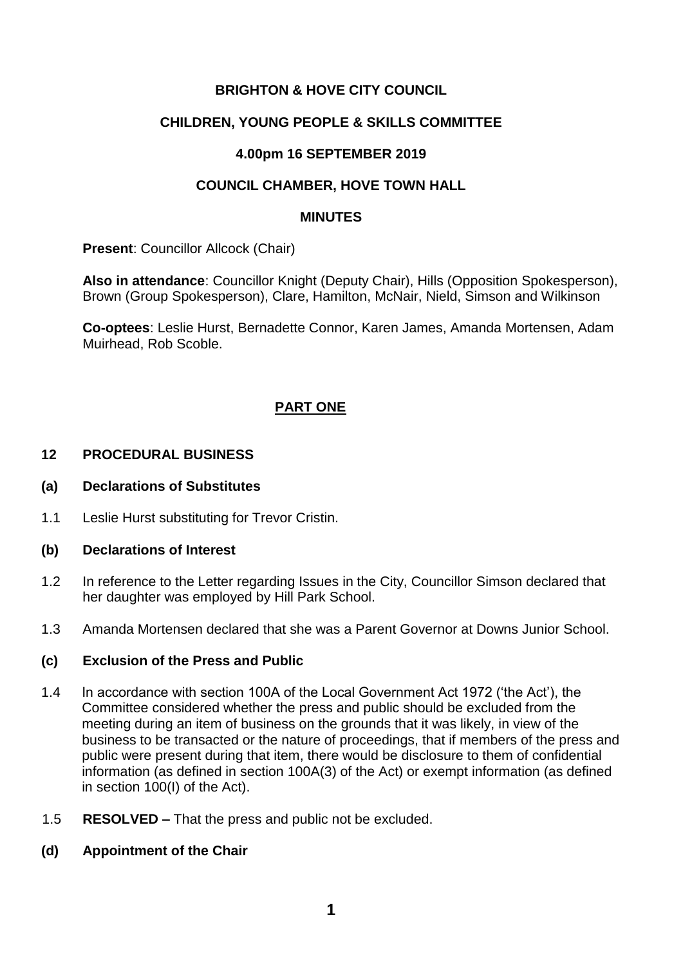## **BRIGHTON & HOVE CITY COUNCIL**

### **CHILDREN, YOUNG PEOPLE & SKILLS COMMITTEE**

### **4.00pm 16 SEPTEMBER 2019**

### **COUNCIL CHAMBER, HOVE TOWN HALL**

#### **MINUTES**

**Present: Councillor Allcock (Chair)** 

**Also in attendance**: Councillor Knight (Deputy Chair), Hills (Opposition Spokesperson), Brown (Group Spokesperson), Clare, Hamilton, McNair, Nield, Simson and Wilkinson

**Co-optees**: Leslie Hurst, Bernadette Connor, Karen James, Amanda Mortensen, Adam Muirhead, Rob Scoble.

# **PART ONE**

#### **12 PROCEDURAL BUSINESS**

#### **(a) Declarations of Substitutes**

1.1 Leslie Hurst substituting for Trevor Cristin.

#### **(b) Declarations of Interest**

- 1.2 In reference to the Letter regarding Issues in the City, Councillor Simson declared that her daughter was employed by Hill Park School.
- 1.3 Amanda Mortensen declared that she was a Parent Governor at Downs Junior School.

### **(c) Exclusion of the Press and Public**

- 1.4 In accordance with section 100A of the Local Government Act 1972 ('the Act'), the Committee considered whether the press and public should be excluded from the meeting during an item of business on the grounds that it was likely, in view of the business to be transacted or the nature of proceedings, that if members of the press and public were present during that item, there would be disclosure to them of confidential information (as defined in section 100A(3) of the Act) or exempt information (as defined in section 100(I) of the Act).
- 1.5 **RESOLVED –** That the press and public not be excluded.
- **(d) Appointment of the Chair**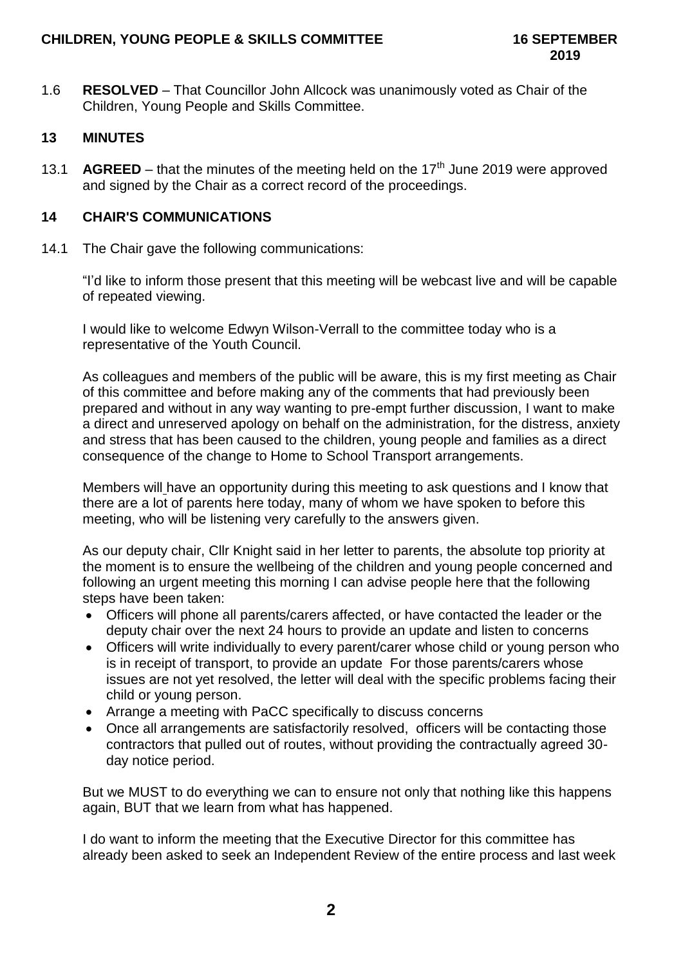1.6 **RESOLVED** – That Councillor John Allcock was unanimously voted as Chair of the Children, Young People and Skills Committee.

# **13 MINUTES**

13.1 **AGREED** – that the minutes of the meeting held on the  $17<sup>th</sup>$  June 2019 were approved and signed by the Chair as a correct record of the proceedings.

### **14 CHAIR'S COMMUNICATIONS**

14.1 The Chair gave the following communications:

"I'd like to inform those present that this meeting will be webcast live and will be capable of repeated viewing.

I would like to welcome Edwyn Wilson-Verrall to the committee today who is a representative of the Youth Council.

As colleagues and members of the public will be aware, this is my first meeting as Chair of this committee and before making any of the comments that had previously been prepared and without in any way wanting to pre-empt further discussion, I want to make a direct and unreserved apology on behalf on the administration, for the distress, anxiety and stress that has been caused to the children, young people and families as a direct consequence of the change to Home to School Transport arrangements.

Members will have an opportunity during this meeting to ask questions and I know that there are a lot of parents here today, many of whom we have spoken to before this meeting, who will be listening very carefully to the answers given.

As our deputy chair, Cllr Knight said in her letter to parents, the absolute top priority at the moment is to ensure the wellbeing of the children and young people concerned and following an urgent meeting this morning I can advise people here that the following steps have been taken:

- Officers will phone all parents/carers affected, or have contacted the leader or the deputy chair over the next 24 hours to provide an update and listen to concerns
- Officers will write individually to every parent/carer whose child or young person who is in receipt of transport, to provide an update For those parents/carers whose issues are not yet resolved, the letter will deal with the specific problems facing their child or young person.
- Arrange a meeting with PaCC specifically to discuss concerns
- Once all arrangements are satisfactorily resolved, officers will be contacting those contractors that pulled out of routes, without providing the contractually agreed 30 day notice period.

But we MUST to do everything we can to ensure not only that nothing like this happens again, BUT that we learn from what has happened.

I do want to inform the meeting that the Executive Director for this committee has already been asked to seek an Independent Review of the entire process and last week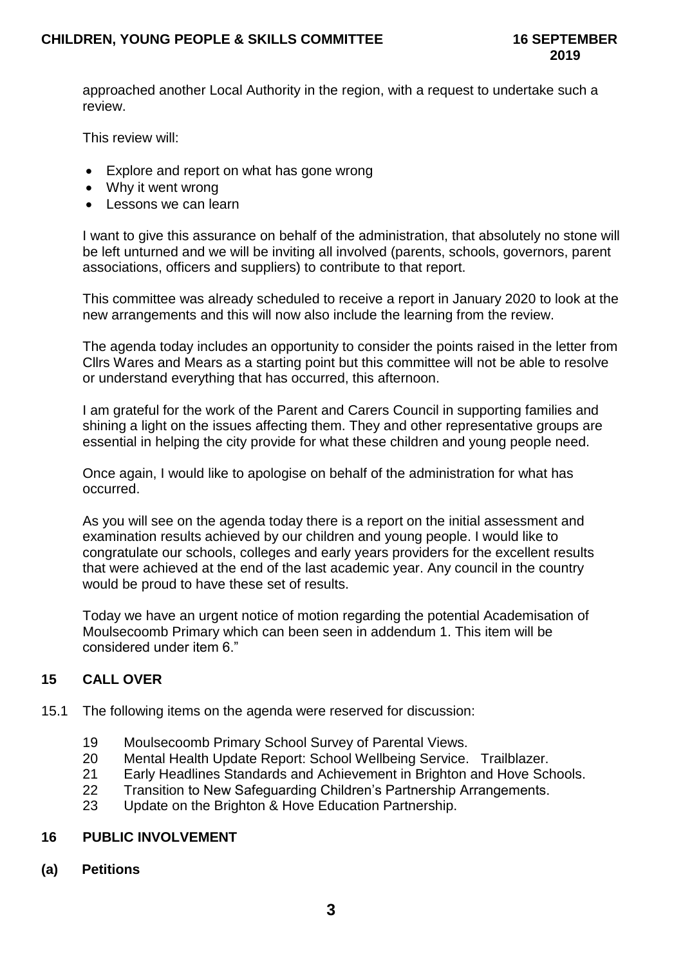approached another Local Authority in the region, with a request to undertake such a review.

This review will:

- Explore and report on what has gone wrong
- Why it went wrong
- Lessons we can learn

I want to give this assurance on behalf of the administration, that absolutely no stone will be left unturned and we will be inviting all involved (parents, schools, governors, parent associations, officers and suppliers) to contribute to that report.

This committee was already scheduled to receive a report in January 2020 to look at the new arrangements and this will now also include the learning from the review.

The agenda today includes an opportunity to consider the points raised in the letter from Cllrs Wares and Mears as a starting point but this committee will not be able to resolve or understand everything that has occurred, this afternoon.

I am grateful for the work of the Parent and Carers Council in supporting families and shining a light on the issues affecting them. They and other representative groups are essential in helping the city provide for what these children and young people need.

Once again, I would like to apologise on behalf of the administration for what has occurred.

As you will see on the agenda today there is a report on the initial assessment and examination results achieved by our children and young people. I would like to congratulate our schools, colleges and early years providers for the excellent results that were achieved at the end of the last academic year. Any council in the country would be proud to have these set of results.

Today we have an urgent notice of motion regarding the potential Academisation of Moulsecoomb Primary which can been seen in addendum 1. This item will be considered under item 6."

# **15 CALL OVER**

- 15.1 The following items on the agenda were reserved for discussion:
	- 19 Moulsecoomb Primary School Survey of Parental Views.
	- 20 Mental Health Update Report: School Wellbeing Service. Trailblazer.
	- 21 Early Headlines Standards and Achievement in Brighton and Hove Schools.
	- 22 Transition to New Safeguarding Children's Partnership Arrangements.
	- 23 Update on the Brighton & Hove Education Partnership.

### **16 PUBLIC INVOLVEMENT**

**(a) Petitions**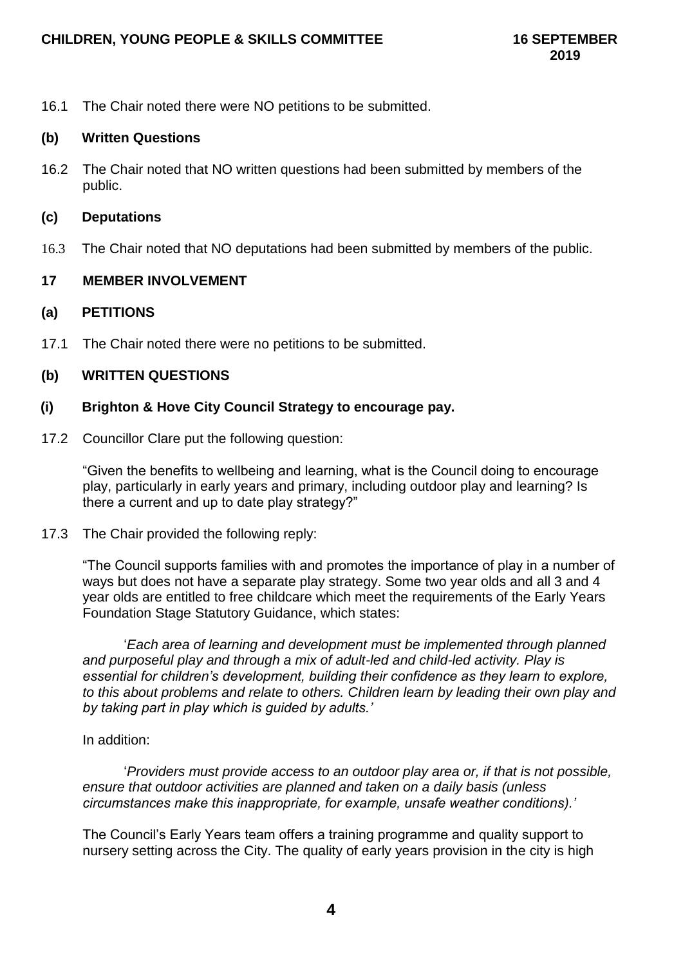16.1 The Chair noted there were NO petitions to be submitted.

### **(b) Written Questions**

16.2 The Chair noted that NO written questions had been submitted by members of the public.

### **(c) Deputations**

16.3 The Chair noted that NO deputations had been submitted by members of the public.

# **17 MEMBER INVOLVEMENT**

## **(a) PETITIONS**

17.1 The Chair noted there were no petitions to be submitted.

# **(b) WRITTEN QUESTIONS**

## **(i) Brighton & Hove City Council Strategy to encourage pay.**

17.2 Councillor Clare put the following question:

"Given the benefits to wellbeing and learning, what is the Council doing to encourage play, particularly in early years and primary, including outdoor play and learning? Is there a current and up to date play strategy?"

17.3 The Chair provided the following reply:

"The Council supports families with and promotes the importance of play in a number of ways but does not have a separate play strategy. Some two year olds and all 3 and 4 year olds are entitled to free childcare which meet the requirements of the Early Years Foundation Stage Statutory Guidance, which states:

'*Each area of learning and development must be implemented through planned and purposeful play and through a mix of adult-led and child-led activity. Play is essential for children's development, building their confidence as they learn to explore, to this about problems and relate to others. Children learn by leading their own play and by taking part in play which is guided by adults.'*

### In addition:

'*Providers must provide access to an outdoor play area or, if that is not possible, ensure that outdoor activities are planned and taken on a daily basis (unless circumstances make this inappropriate, for example, unsafe weather conditions).'*

The Council's Early Years team offers a training programme and quality support to nursery setting across the City. The quality of early years provision in the city is high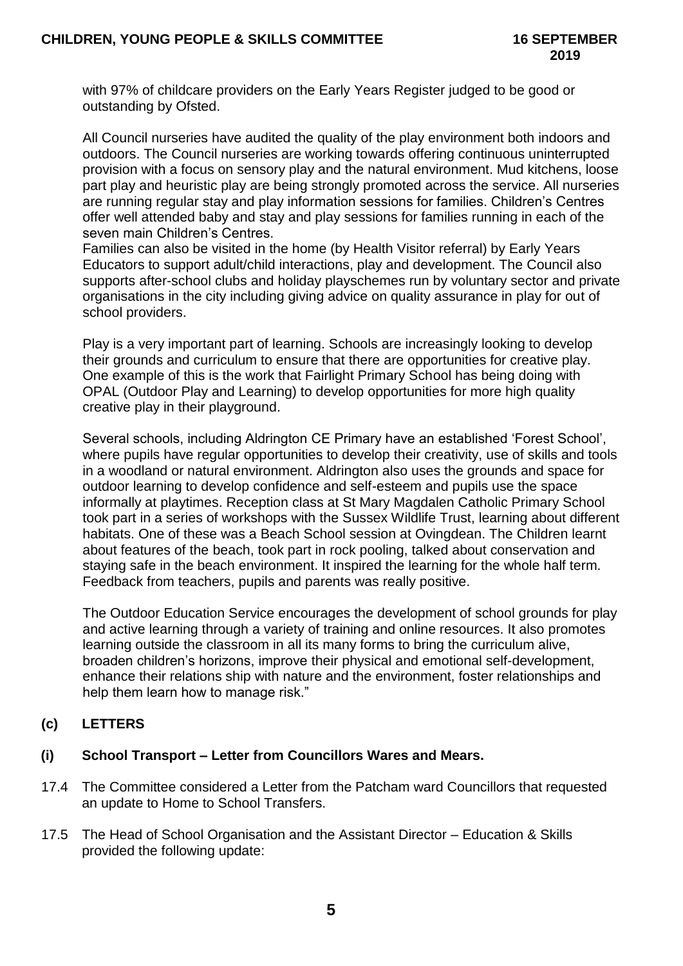with 97% of childcare providers on the Early Years Register judged to be good or outstanding by Ofsted.

All Council nurseries have audited the quality of the play environment both indoors and outdoors. The Council nurseries are working towards offering continuous uninterrupted provision with a focus on sensory play and the natural environment. Mud kitchens, loose part play and heuristic play are being strongly promoted across the service. All nurseries are running regular stay and play information sessions for families. Children's Centres offer well attended baby and stay and play sessions for families running in each of the seven main Children's Centres.

Families can also be visited in the home (by Health Visitor referral) by Early Years Educators to support adult/child interactions, play and development. The Council also supports after-school clubs and holiday playschemes run by voluntary sector and private organisations in the city including giving advice on quality assurance in play for out of school providers.

Play is a very important part of learning. Schools are increasingly looking to develop their grounds and curriculum to ensure that there are opportunities for creative play. One example of this is the work that Fairlight Primary School has being doing with OPAL (Outdoor Play and Learning) to develop opportunities for more high quality creative play in their playground.

Several schools, including Aldrington CE Primary have an established 'Forest School', where pupils have regular opportunities to develop their creativity, use of skills and tools in a woodland or natural environment. Aldrington also uses the grounds and space for outdoor learning to develop confidence and self-esteem and pupils use the space informally at playtimes. Reception class at St Mary Magdalen Catholic Primary School took part in a series of workshops with the Sussex Wildlife Trust, learning about different habitats. One of these was a Beach School session at Ovingdean. The Children learnt about features of the beach, took part in rock pooling, talked about conservation and staying safe in the beach environment. It inspired the learning for the whole half term. Feedback from teachers, pupils and parents was really positive.

The Outdoor Education Service encourages the development of school grounds for play and active learning through a variety of training and online resources. It also promotes learning outside the classroom in all its many forms to bring the curriculum alive, broaden children's horizons, improve their physical and emotional self-development, enhance their relations ship with nature and the environment, foster relationships and help them learn how to manage risk."

# **(c) LETTERS**

# **(i) School Transport – Letter from Councillors Wares and Mears.**

- 17.4 The Committee considered a Letter from the Patcham ward Councillors that requested an update to Home to School Transfers.
- 17.5 The Head of School Organisation and the Assistant Director Education & Skills provided the following update: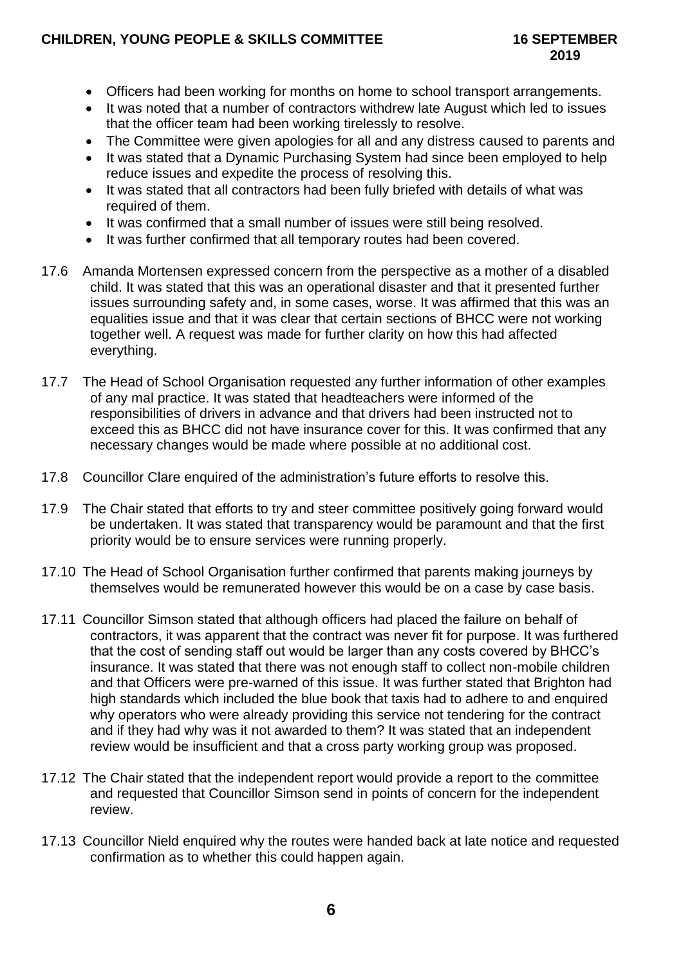# **CHILDREN, YOUNG PEOPLE & SKILLS COMMITTEE 16 SEPTEMBER**

- Officers had been working for months on home to school transport arrangements.
- It was noted that a number of contractors withdrew late August which led to issues that the officer team had been working tirelessly to resolve.
- The Committee were given apologies for all and any distress caused to parents and
- It was stated that a Dynamic Purchasing System had since been employed to help reduce issues and expedite the process of resolving this.
- It was stated that all contractors had been fully briefed with details of what was required of them.
- It was confirmed that a small number of issues were still being resolved.
- It was further confirmed that all temporary routes had been covered.
- 17.6 Amanda Mortensen expressed concern from the perspective as a mother of a disabled child. It was stated that this was an operational disaster and that it presented further issues surrounding safety and, in some cases, worse. It was affirmed that this was an equalities issue and that it was clear that certain sections of BHCC were not working together well. A request was made for further clarity on how this had affected everything.
- 17.7 The Head of School Organisation requested any further information of other examples of any mal practice. It was stated that headteachers were informed of the responsibilities of drivers in advance and that drivers had been instructed not to exceed this as BHCC did not have insurance cover for this. It was confirmed that any necessary changes would be made where possible at no additional cost.
- 17.8 Councillor Clare enquired of the administration's future efforts to resolve this.
- 17.9 The Chair stated that efforts to try and steer committee positively going forward would be undertaken. It was stated that transparency would be paramount and that the first priority would be to ensure services were running properly.
- 17.10 The Head of School Organisation further confirmed that parents making journeys by themselves would be remunerated however this would be on a case by case basis.
- 17.11 Councillor Simson stated that although officers had placed the failure on behalf of contractors, it was apparent that the contract was never fit for purpose. It was furthered that the cost of sending staff out would be larger than any costs covered by BHCC's insurance. It was stated that there was not enough staff to collect non-mobile children and that Officers were pre-warned of this issue. It was further stated that Brighton had high standards which included the blue book that taxis had to adhere to and enquired why operators who were already providing this service not tendering for the contract and if they had why was it not awarded to them? It was stated that an independent review would be insufficient and that a cross party working group was proposed.
- 17.12 The Chair stated that the independent report would provide a report to the committee and requested that Councillor Simson send in points of concern for the independent review.
- 17.13 Councillor Nield enquired why the routes were handed back at late notice and requested confirmation as to whether this could happen again.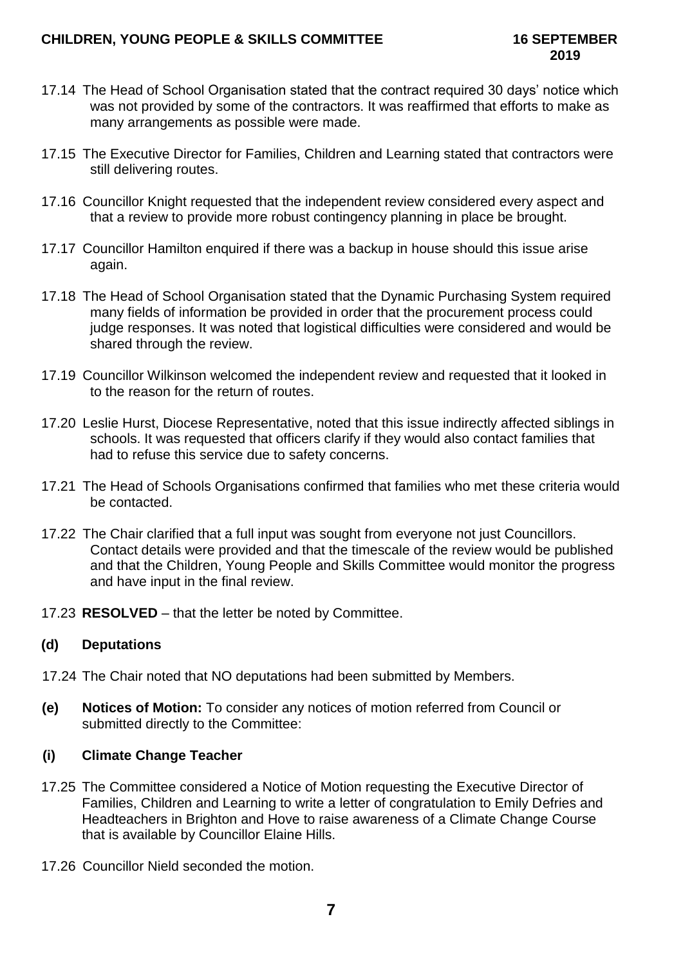- 17.14 The Head of School Organisation stated that the contract required 30 days' notice which was not provided by some of the contractors. It was reaffirmed that efforts to make as many arrangements as possible were made.
- 17.15 The Executive Director for Families, Children and Learning stated that contractors were still delivering routes.
- 17.16 Councillor Knight requested that the independent review considered every aspect and that a review to provide more robust contingency planning in place be brought.
- 17.17 Councillor Hamilton enquired if there was a backup in house should this issue arise again.
- 17.18 The Head of School Organisation stated that the Dynamic Purchasing System required many fields of information be provided in order that the procurement process could judge responses. It was noted that logistical difficulties were considered and would be shared through the review.
- 17.19 Councillor Wilkinson welcomed the independent review and requested that it looked in to the reason for the return of routes.
- 17.20 Leslie Hurst, Diocese Representative, noted that this issue indirectly affected siblings in schools. It was requested that officers clarify if they would also contact families that had to refuse this service due to safety concerns.
- 17.21 The Head of Schools Organisations confirmed that families who met these criteria would be contacted.
- 17.22 The Chair clarified that a full input was sought from everyone not just Councillors. Contact details were provided and that the timescale of the review would be published and that the Children, Young People and Skills Committee would monitor the progress and have input in the final review.
- 17.23 **RESOLVED** that the letter be noted by Committee.

### **(d) Deputations**

- 17.24 The Chair noted that NO deputations had been submitted by Members.
- **(e) Notices of Motion:** To consider any notices of motion referred from Council or submitted directly to the Committee:

### **(i) Climate Change Teacher**

- 17.25 The Committee considered a Notice of Motion requesting the Executive Director of Families, Children and Learning to write a letter of congratulation to Emily Defries and Headteachers in Brighton and Hove to raise awareness of a Climate Change Course that is available by Councillor Elaine Hills.
- 17.26 Councillor Nield seconded the motion.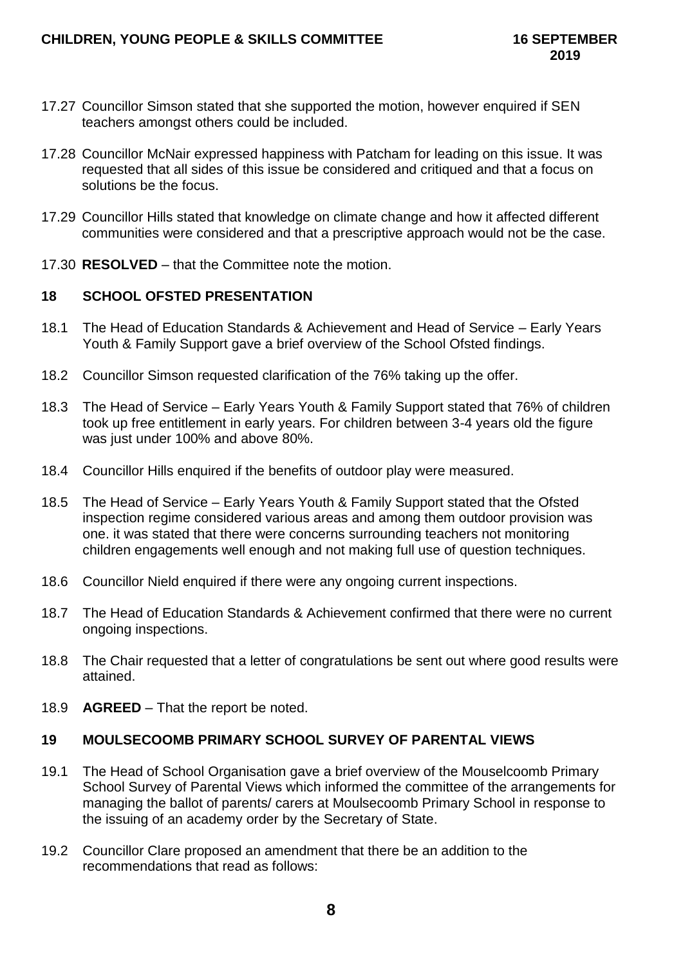- 17.27 Councillor Simson stated that she supported the motion, however enquired if SEN teachers amongst others could be included.
- 17.28 Councillor McNair expressed happiness with Patcham for leading on this issue. It was requested that all sides of this issue be considered and critiqued and that a focus on solutions be the focus.
- 17.29 Councillor Hills stated that knowledge on climate change and how it affected different communities were considered and that a prescriptive approach would not be the case.
- 17.30 **RESOLVED** that the Committee note the motion.

### **18 SCHOOL OFSTED PRESENTATION**

- 18.1 The Head of Education Standards & Achievement and Head of Service Early Years Youth & Family Support gave a brief overview of the School Ofsted findings.
- 18.2 Councillor Simson requested clarification of the 76% taking up the offer.
- 18.3 The Head of Service Early Years Youth & Family Support stated that 76% of children took up free entitlement in early years. For children between 3-4 years old the figure was just under 100% and above 80%.
- 18.4 Councillor Hills enquired if the benefits of outdoor play were measured.
- 18.5 The Head of Service Early Years Youth & Family Support stated that the Ofsted inspection regime considered various areas and among them outdoor provision was one. it was stated that there were concerns surrounding teachers not monitoring children engagements well enough and not making full use of question techniques.
- 18.6 Councillor Nield enquired if there were any ongoing current inspections.
- 18.7 The Head of Education Standards & Achievement confirmed that there were no current ongoing inspections.
- 18.8 The Chair requested that a letter of congratulations be sent out where good results were attained.
- 18.9 **AGREED** That the report be noted.

# **19 MOULSECOOMB PRIMARY SCHOOL SURVEY OF PARENTAL VIEWS**

- 19.1 The Head of School Organisation gave a brief overview of the Mouselcoomb Primary School Survey of Parental Views which informed the committee of the arrangements for managing the ballot of parents/ carers at Moulsecoomb Primary School in response to the issuing of an academy order by the Secretary of State.
- 19.2 Councillor Clare proposed an amendment that there be an addition to the recommendations that read as follows: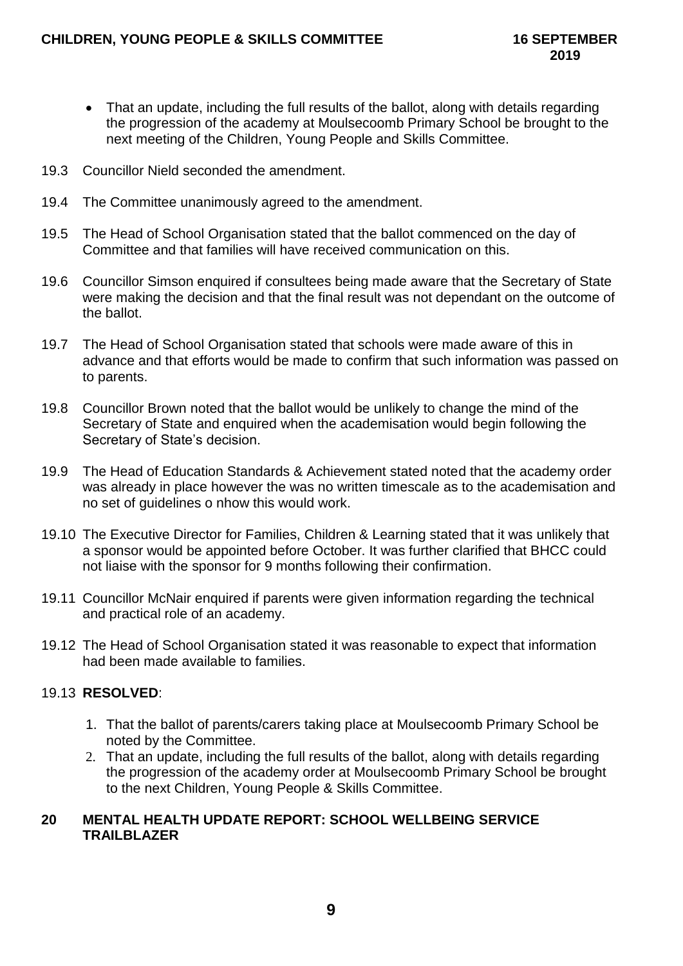- That an update, including the full results of the ballot, along with details regarding the progression of the academy at Moulsecoomb Primary School be brought to the next meeting of the Children, Young People and Skills Committee.
- 19.3 Councillor Nield seconded the amendment.
- 19.4 The Committee unanimously agreed to the amendment.
- 19.5 The Head of School Organisation stated that the ballot commenced on the day of Committee and that families will have received communication on this.
- 19.6 Councillor Simson enquired if consultees being made aware that the Secretary of State were making the decision and that the final result was not dependant on the outcome of the ballot.
- 19.7 The Head of School Organisation stated that schools were made aware of this in advance and that efforts would be made to confirm that such information was passed on to parents.
- 19.8 Councillor Brown noted that the ballot would be unlikely to change the mind of the Secretary of State and enquired when the academisation would begin following the Secretary of State's decision.
- 19.9 The Head of Education Standards & Achievement stated noted that the academy order was already in place however the was no written timescale as to the academisation and no set of guidelines o nhow this would work.
- 19.10 The Executive Director for Families, Children & Learning stated that it was unlikely that a sponsor would be appointed before October. It was further clarified that BHCC could not liaise with the sponsor for 9 months following their confirmation.
- 19.11 Councillor McNair enquired if parents were given information regarding the technical and practical role of an academy.
- 19.12 The Head of School Organisation stated it was reasonable to expect that information had been made available to families.

# 19.13 **RESOLVED**:

- 1. That the ballot of parents/carers taking place at Moulsecoomb Primary School be noted by the Committee.
- 2. That an update, including the full results of the ballot, along with details regarding the progression of the academy order at Moulsecoomb Primary School be brought to the next Children, Young People & Skills Committee.

## **20 MENTAL HEALTH UPDATE REPORT: SCHOOL WELLBEING SERVICE TRAILBLAZER**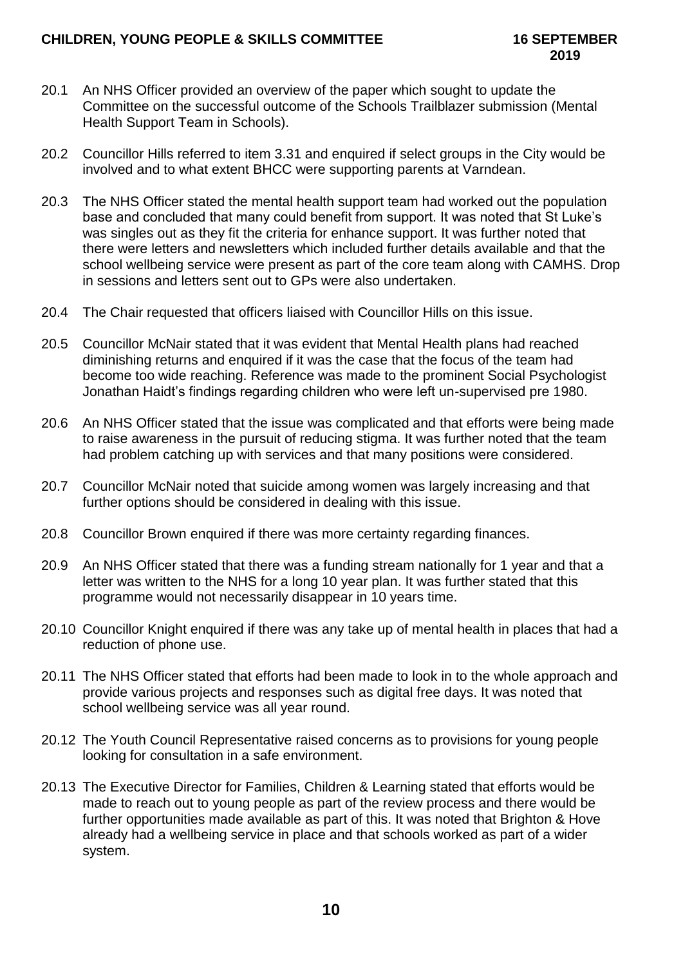- 20.1 An NHS Officer provided an overview of the paper which sought to update the Committee on the successful outcome of the Schools Trailblazer submission (Mental Health Support Team in Schools).
- 20.2 Councillor Hills referred to item 3.31 and enquired if select groups in the City would be involved and to what extent BHCC were supporting parents at Varndean.
- 20.3 The NHS Officer stated the mental health support team had worked out the population base and concluded that many could benefit from support. It was noted that St Luke's was singles out as they fit the criteria for enhance support. It was further noted that there were letters and newsletters which included further details available and that the school wellbeing service were present as part of the core team along with CAMHS. Drop in sessions and letters sent out to GPs were also undertaken.
- 20.4 The Chair requested that officers liaised with Councillor Hills on this issue.
- 20.5 Councillor McNair stated that it was evident that Mental Health plans had reached diminishing returns and enquired if it was the case that the focus of the team had become too wide reaching. Reference was made to the prominent Social Psychologist Jonathan Haidt's findings regarding children who were left un-supervised pre 1980.
- 20.6 An NHS Officer stated that the issue was complicated and that efforts were being made to raise awareness in the pursuit of reducing stigma. It was further noted that the team had problem catching up with services and that many positions were considered.
- 20.7 Councillor McNair noted that suicide among women was largely increasing and that further options should be considered in dealing with this issue.
- 20.8 Councillor Brown enquired if there was more certainty regarding finances.
- 20.9 An NHS Officer stated that there was a funding stream nationally for 1 year and that a letter was written to the NHS for a long 10 year plan. It was further stated that this programme would not necessarily disappear in 10 years time.
- 20.10 Councillor Knight enquired if there was any take up of mental health in places that had a reduction of phone use.
- 20.11 The NHS Officer stated that efforts had been made to look in to the whole approach and provide various projects and responses such as digital free days. It was noted that school wellbeing service was all year round.
- 20.12 The Youth Council Representative raised concerns as to provisions for young people looking for consultation in a safe environment.
- 20.13 The Executive Director for Families, Children & Learning stated that efforts would be made to reach out to young people as part of the review process and there would be further opportunities made available as part of this. It was noted that Brighton & Hove already had a wellbeing service in place and that schools worked as part of a wider system.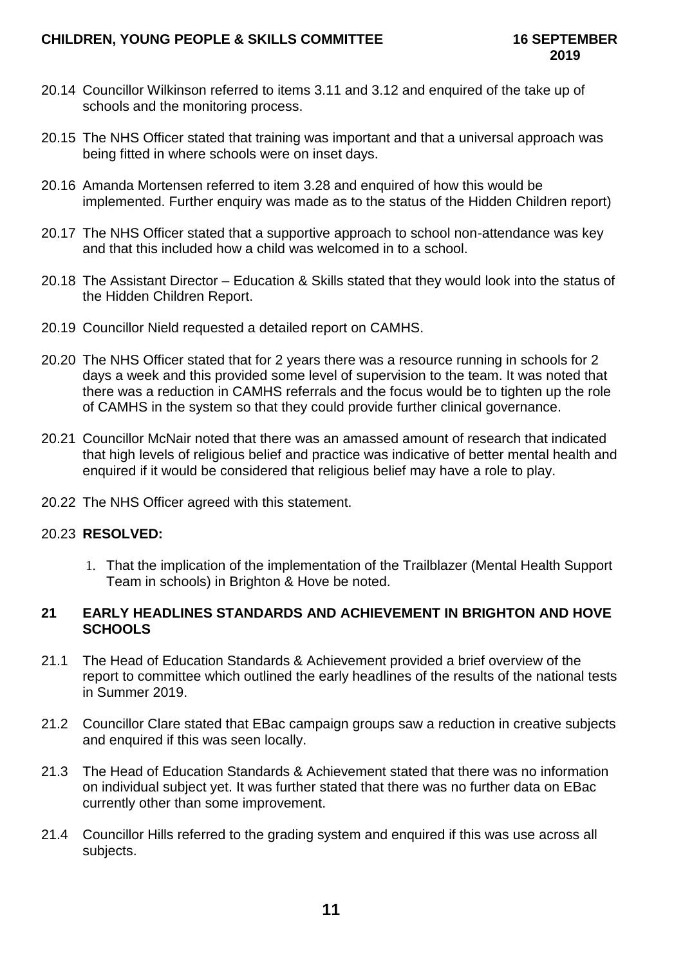- 20.14 Councillor Wilkinson referred to items 3.11 and 3.12 and enquired of the take up of schools and the monitoring process.
- 20.15 The NHS Officer stated that training was important and that a universal approach was being fitted in where schools were on inset days.
- 20.16 Amanda Mortensen referred to item 3.28 and enquired of how this would be implemented. Further enquiry was made as to the status of the Hidden Children report)
- 20.17 The NHS Officer stated that a supportive approach to school non-attendance was key and that this included how a child was welcomed in to a school.
- 20.18 The Assistant Director Education & Skills stated that they would look into the status of the Hidden Children Report.
- 20.19 Councillor Nield requested a detailed report on CAMHS.
- 20.20 The NHS Officer stated that for 2 years there was a resource running in schools for 2 days a week and this provided some level of supervision to the team. It was noted that there was a reduction in CAMHS referrals and the focus would be to tighten up the role of CAMHS in the system so that they could provide further clinical governance.
- 20.21 Councillor McNair noted that there was an amassed amount of research that indicated that high levels of religious belief and practice was indicative of better mental health and enquired if it would be considered that religious belief may have a role to play.
- 20.22 The NHS Officer agreed with this statement.

### 20.23 **RESOLVED:**

1. That the implication of the implementation of the Trailblazer (Mental Health Support Team in schools) in Brighton & Hove be noted.

### **21 EARLY HEADLINES STANDARDS AND ACHIEVEMENT IN BRIGHTON AND HOVE SCHOOLS**

- 21.1 The Head of Education Standards & Achievement provided a brief overview of the report to committee which outlined the early headlines of the results of the national tests in Summer 2019.
- 21.2 Councillor Clare stated that EBac campaign groups saw a reduction in creative subjects and enquired if this was seen locally.
- 21.3 The Head of Education Standards & Achievement stated that there was no information on individual subject yet. It was further stated that there was no further data on EBac currently other than some improvement.
- 21.4 Councillor Hills referred to the grading system and enquired if this was use across all subjects.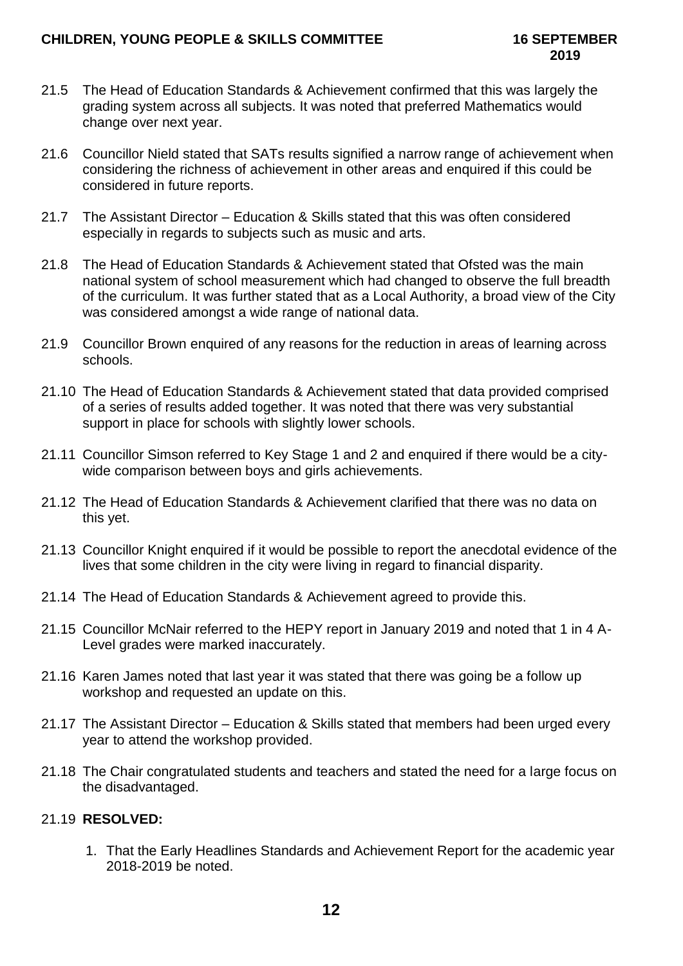- 21.5 The Head of Education Standards & Achievement confirmed that this was largely the grading system across all subjects. It was noted that preferred Mathematics would change over next year.
- 21.6 Councillor Nield stated that SATs results signified a narrow range of achievement when considering the richness of achievement in other areas and enquired if this could be considered in future reports.
- 21.7 The Assistant Director Education & Skills stated that this was often considered especially in regards to subjects such as music and arts.
- 21.8 The Head of Education Standards & Achievement stated that Ofsted was the main national system of school measurement which had changed to observe the full breadth of the curriculum. It was further stated that as a Local Authority, a broad view of the City was considered amongst a wide range of national data.
- 21.9 Councillor Brown enquired of any reasons for the reduction in areas of learning across schools.
- 21.10 The Head of Education Standards & Achievement stated that data provided comprised of a series of results added together. It was noted that there was very substantial support in place for schools with slightly lower schools.
- 21.11 Councillor Simson referred to Key Stage 1 and 2 and enquired if there would be a citywide comparison between boys and girls achievements.
- 21.12 The Head of Education Standards & Achievement clarified that there was no data on this yet.
- 21.13 Councillor Knight enquired if it would be possible to report the anecdotal evidence of the lives that some children in the city were living in regard to financial disparity.
- 21.14 The Head of Education Standards & Achievement agreed to provide this.
- 21.15 Councillor McNair referred to the HEPY report in January 2019 and noted that 1 in 4 A-Level grades were marked inaccurately.
- 21.16 Karen James noted that last year it was stated that there was going be a follow up workshop and requested an update on this.
- 21.17 The Assistant Director Education & Skills stated that members had been urged every year to attend the workshop provided.
- 21.18 The Chair congratulated students and teachers and stated the need for a large focus on the disadvantaged.

# 21.19 **RESOLVED:**

1. That the Early Headlines Standards and Achievement Report for the academic year 2018-2019 be noted.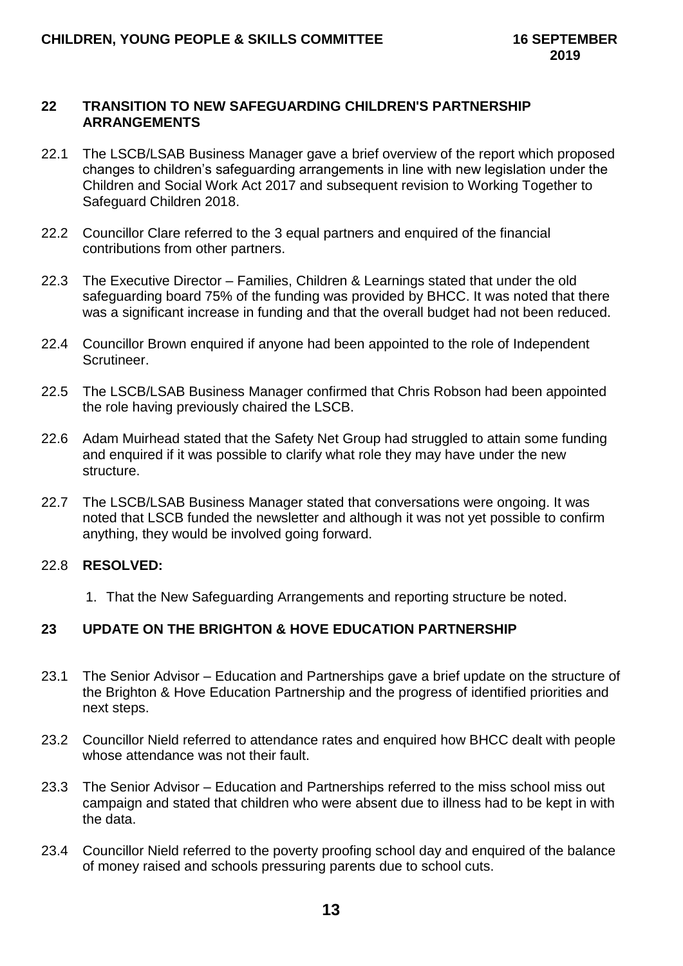#### **22 TRANSITION TO NEW SAFEGUARDING CHILDREN'S PARTNERSHIP ARRANGEMENTS**

- 22.1 The LSCB/LSAB Business Manager gave a brief overview of the report which proposed changes to children's safeguarding arrangements in line with new legislation under the Children and Social Work Act 2017 and subsequent revision to Working Together to Safeguard Children 2018.
- 22.2 Councillor Clare referred to the 3 equal partners and enquired of the financial contributions from other partners.
- 22.3 The Executive Director Families, Children & Learnings stated that under the old safeguarding board 75% of the funding was provided by BHCC. It was noted that there was a significant increase in funding and that the overall budget had not been reduced.
- 22.4 Councillor Brown enquired if anyone had been appointed to the role of Independent Scrutineer.
- 22.5 The LSCB/LSAB Business Manager confirmed that Chris Robson had been appointed the role having previously chaired the LSCB.
- 22.6 Adam Muirhead stated that the Safety Net Group had struggled to attain some funding and enquired if it was possible to clarify what role they may have under the new structure.
- 22.7 The LSCB/LSAB Business Manager stated that conversations were ongoing. It was noted that LSCB funded the newsletter and although it was not yet possible to confirm anything, they would be involved going forward.

### 22.8 **RESOLVED:**

1. That the New Safeguarding Arrangements and reporting structure be noted.

### **23 UPDATE ON THE BRIGHTON & HOVE EDUCATION PARTNERSHIP**

- 23.1 The Senior Advisor Education and Partnerships gave a brief update on the structure of the Brighton & Hove Education Partnership and the progress of identified priorities and next steps.
- 23.2 Councillor Nield referred to attendance rates and enquired how BHCC dealt with people whose attendance was not their fault.
- 23.3 The Senior Advisor Education and Partnerships referred to the miss school miss out campaign and stated that children who were absent due to illness had to be kept in with the data.
- 23.4 Councillor Nield referred to the poverty proofing school day and enquired of the balance of money raised and schools pressuring parents due to school cuts.